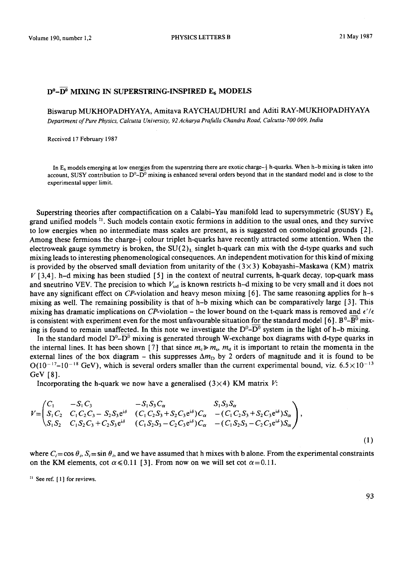## D°-D° MIXING IN SUPERSTRING-INSPIRED E<sub>6</sub> MODELS

Biswarup MUKHOPADHYAYA, Amitava RAYCHAUDHURI and Aditi RAY-MUKHOPADHYAYA *Department of Pure Physics, Calcutta University, 92 Acharya Prafulla Chandra Road, Calcutta- 700 009, India* 

Received 17 February 1987

In  $E_6$  models emerging at low energies from the superstring there are exotic charge- $\frac{1}{3}$  h-quarks. When h-b mixing is taken into account, SUSY contribution to  $D^0 - D^0$  mixing is enhanced several orders beyond that in the standard model and is close to the experimental upper limit.

Superstring theories after compactification on a Calabi-Yau manifold lead to supersymmetric (SUSY)  $E_6$ grand unified models  $<sup>i</sup>$ . Such models contain exotic fermions in addition to the usual ones, and they survive</sup> to low energies when no intermediate mass scales are present, as is suggested on cosmological grounds [2]. Among these fermions the charge- $\frac{1}{2}$  colour triplet h-quarks have recently attracted some attention. When the electroweak gauge symmetry is broken, the  $SU(2)$  singlet h-quark can mix with the d-type quarks and such mixing leads to interesting phenomenological consequences. An independent motivation for this kind of mixing is provided by the observed small deviation from unitarity of the  $(3\times3)$  Kobayashi-Maskawa (KM) matrix  $V$  [3,4]. h-d mixing has been studied [5] in the context of neutral currents, h-quark decay, top-quark mass and sneutrino VEV. The precision to which  $V_{ud}$  is known restricts h-d mixing to be very small and it does not have any significant effect on CP-violation and heavy meson mixing  $[6]$ . The same reasoning applies for h-s mixing as well. The remaining possibility is that of h-b mixing which can be comparatively large [ 3 ]. This mixing has dramatic implications on CP-violation – the lower bound on the t-quark mass is removed and  $\epsilon'/\epsilon$ is consistent with experiment even for the most unfavourable situation for the standard model [6].  $B^0 - B^0$  mixing is found to remain unaffected. In this note we investigate the  $D^0$ - $\overline{D^0}$  system in the light of h-b mixing.

In the standard model  $D^0$ - $D^0$  mixing is generated through W-exchange box diagrams with d-type quarks in the internal lines. It has been shown [7] that since  $m_c \gg m_s$ ,  $m_d$  it is important to retain the momenta in the external lines of the box diagram – this suppresses  $\Delta m_D$  by 2 orders of magnitude and it is found to be  $O(10^{-17}-10^{-18}$  GeV), which is several orders smaller than the current experimental bound, viz. 6.5 $\times$ 10<sup>-13</sup> GeV [8].

Incorporating the h-quark we now have a generalised ( $3 \times 4$ ) KM matrix V:

$$
V = \begin{pmatrix} C_1 & -S_1 C_3 & -S_1 S_3 C_{\alpha} & S_1 S_3 S_{\alpha} \\ S_1 C_2 & C_1 C_2 C_3 - S_2 S_3 e^{i\delta} & (C_1 C_2 S_3 + S_2 C_3 e^{i\delta}) C_{\alpha} & -(C_1 C_2 S_3 + S_2 C_3 e^{i\delta}) S_{\alpha} \\ S_1 S_2 & C_1 S_2 C_3 + C_2 S_3 e^{i\delta} & (C_1 S_2 S_3 - C_2 C_3 e^{i\delta}) C_{\alpha} & -(C_1 S_2 S_3 - C_2 C_3 e^{i\delta}) S_{\alpha} \end{pmatrix},
$$
\n(1)

where  $C_i = \cos \theta_i$ ,  $S_i = \sin \theta_i$ , and we have assumed that h mixes with b alone. From the experimental constraints on the KM elements, cot  $\alpha \le 0.11$  [3]. From now on we will set cot  $\alpha = 0.11$ .

 $<sup>11</sup>$  See ref. [1] for reviews.</sup>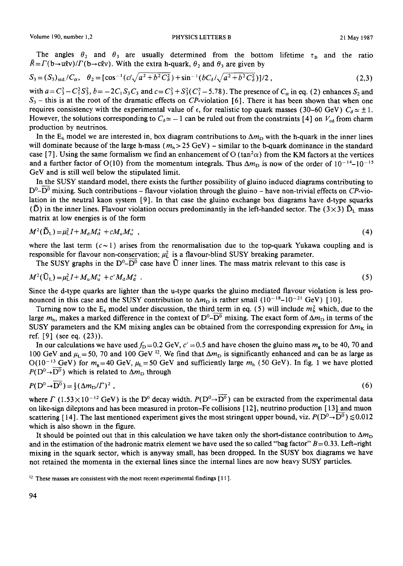The angles  $\theta_2$  and  $\theta_3$  are usually determined from the bottom lifetime  $\tau_B$  and the ratio  $\bar{R}=F(b\rightarrow u\ell v)/F(b\rightarrow c\ell v)$ . With the extra h-quark,  $\theta_2$  and  $\theta_3$  are given by

$$
S_3 = (S_3)_{\text{std}} / C_{\alpha}, \quad \theta_2 = [\cos^{-1}(c/\sqrt{a^2 + b^2 C_{\delta}^2}) + \sin^{-1}(bC_{\delta}/\sqrt{a^2 + b^2 C_{\delta}^2})]/2 \tag{2.3}
$$

with  $a = C_3^2 - C_1^2 S_3^2$ ,  $b = -2C_1 S_3 C_3$  and  $c = C_3^2 + S_3^2 (C_1^2 - 5.78)$ . The presence of  $C_\alpha$  in eq. (2) enhances  $S_2$  and  $S_3$  – this is at the root of the dramatic effects on CP-violation [6]. There it has been shown that when one requires consistency with the experimental value of  $\epsilon$ , for realistic top quark masses (30–60 GeV)  $C_{\delta} \approx \pm 1$ . However, the solutions corresponding to  $C_{\delta} \approx -1$  can be ruled out from the constraints [4] on  $V_{\text{cd}}$  from charm production by neutrinos.

In the  $E_6$  model we are interested in, box diagram contributions to  $\Delta m_{\rm D}$  with the h-quark in the inner lines will dominate because of the large h-mass ( $m_h > 25$  GeV) – similar to the b-quark dominance in the standard case [7]. Using the same formalism we find an enhancement of O (tan<sup>2</sup> $\alpha$ ) from the KM factors at the vertices and a further factor of O(10) from the momentum integrals. Thus  $\Delta m_{\rm D}$  is now of the order of  $10^{-14}$ – $10^{-15}$ GeV and is still well below the stipulated limit.

In the SUSY standard model, there exists the further possibility of gluino induced diagrams contributing to  $D^0$ - $\overline{D^0}$  mixing. Such contributions – flavour violation through the gluino – have non-trivial effects on CP-violation in the neutral kaon system [9]. In that case the gluino exchange box diagrams have d-type squarks  $(\tilde{D})$  in the inner lines. Flavour violation occurs predominantly in the left-handed sector. The  $(3\times3)$   $\tilde{D}_L$  mass matrix at low energies is of the form

$$
M^{2}(\bar{\mathbf{D}}_{L}) = \mu_{L}^{2} I + M_{d} M_{d}^{+} + c M_{u} M_{u}^{+} \tag{4}
$$

where the last term  $(c-1)$  arises from the renormalisation due to the top-quark Yukawa coupling and is responsible for flavour non-conservation;  $\mu_L^2$  is a flavour-blind SUSY breaking parameter.

The SUSY graphs in the  $D^0$ - $\overline{D^0}$  case have  $\tilde{U}$  inner lines. The mass matrix relevant to this case is

$$
M^{2}(\tilde{U}_{L}) = \mu_{L}^{2} I + M_{u} M_{u}^{+} + c' M_{d} M_{d}^{+} \tag{5}
$$

Since the d-type quarks are lighter than the u-type quarks the gluino mediated flavour violation is less pronounced in this case and the SUSY contribution to  $\Delta m_D$  is rather small (10<sup>-18</sup>-10<sup>-21</sup> GeV) [10].

Turning now to the  $E_6$  model under discussion, the third term in eq. (5) will include  $m<sub>b</sub><sup>2</sup>$  which, due to the large  $m_h$ , makes a marked difference in the context of D<sup>0</sup>-D<sup>0</sup> mixing. The exact form of  $\Delta m_D$  in terms of the SUSY parameters and the KM mixing angles can be obtained from the corresponding expression for  $\Delta m_K$  in ref. [9] (see eq. (23)).

In our calculations we have used  $f<sub>D</sub>=0.2$  GeV,  $c' = 0.5$  and have chosen the gluino mass  $m<sub>g</sub>$  to be 40, 70 and 100 GeV and  $\mu_L$ =50, 70 and 100 GeV<sup>22</sup>. We find that  $\Delta m_D$  is significantly enhanced and can be as large as  $O(10^{-13} \text{ GeV})$  for  $m_{\text{R}} = 40 \text{ GeV}$ ,  $\mu_{\text{L}} = 50 \text{ GeV}$  and sufficiently large  $m_{\text{h}}$  (50 GeV). In fig. 1 we have plotted  $P(D^0 \rightarrow D^0)$  which is related to  $\Delta m_D$  through

$$
P(D^0 \to D^0) = \frac{1}{2} (\Delta m_D / \Gamma)^2 \tag{6}
$$

where  $\Gamma$  (1.53 × 10<sup>-12</sup> GeV) is the D<sup>0</sup> decay width.  $P(D^0 \rightarrow \overline{D^0})$  can be extracted from the experimental data on like-sign dileptons and has been measured in proton-Fe collisions [ 12], neutrino production [ 13] and muon scattering [14]. The last mentioned experiment gives the most stringent upper bound, viz.  $P(D^0 \rightarrow \overline{D^0}) \lesssim 0.012$ which is also shown in the figure.

It should be pointed out that in this calculation we have taken only the short-distance contribution to  $\Delta m_D$ and in the estimation of the hadronic matrix element we have used the so called "bag factor"  $B = 0.33$ . Left-right mixing in the squark sector, which is anyway small, has been dropped. In the SUSY box diagrams we have not retained the momenta in the external lines since the internal lines are now heavy SUSY particles.

 $22$  These masses are consistent with the most recent experimental findings  $[11]$ .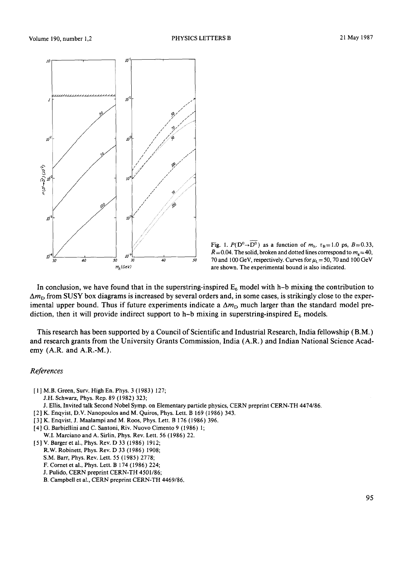



In conclusion, we have found that in the superstring-inspired  $E_6$  model with h-b mixing the contribution to  $\Delta m<sub>D</sub>$  from SUSY box diagrams is increased by several orders and, in some cases, is strikingly close to the experimental upper bound. Thus if future experiments indicate a  $\Delta m<sub>D</sub>$  much larger than the standard model prediction, then it will provide indirect support to h-b mixing in superstring-inspired  $E_6$  models.

**This research has been supported by a Council of Scientific and Industrial Research, India fellowship (B.M.) and research grants from the University Grants Commission, India (A.R.) and Indian National Science Academy (A.R. and A.R.-M.).** 

## *References*

**[ 1 ] M.B. Green, Surv. High En. Phys. 3 (1983) 127; J.H. Schwarz, Phys. Rep. 89 (1982) 323;** 

**J. Ellis, Invited talk Second Nobel Symp. on Elementary particle physics, CERN preprint CERN-TH 4474/86.** 

- **[2] K. Enqyist, D.V. Nanopoulos and M. Quiros, Phys. Lett. B 169 (1986) 343.**
- [3] K. Enqvist, J. Maalampi and M. Roos, Phys. Lett. B 176 (1986) 396.
- **[4] G. Barbiellini and C. Sautoni, Riv. Nuovo Cimento 9 (1986) 1; W.I. Marciano and A. Sirlin, Phys. Rev. Lett. 56 (1986) 22.**
- **[5] V. Barger et al., Phys. Rev. D 33 (1986) 1912;** 
	- **R.W. Robinett, Phys. Rev. D 33 (1986) 1908;**
	- S.M. Barr, Phys. Rev. Lett. 55 (1985) 2778;
	- **F. Cornet et al., Phys. Lett. B 174 (I 986) 224;**
	- **J. Pulido, CERN preprint CERN-TH 4501/86;**
	- **B. Campbell et al., CERN preprint CERN-TH 4469/86.**